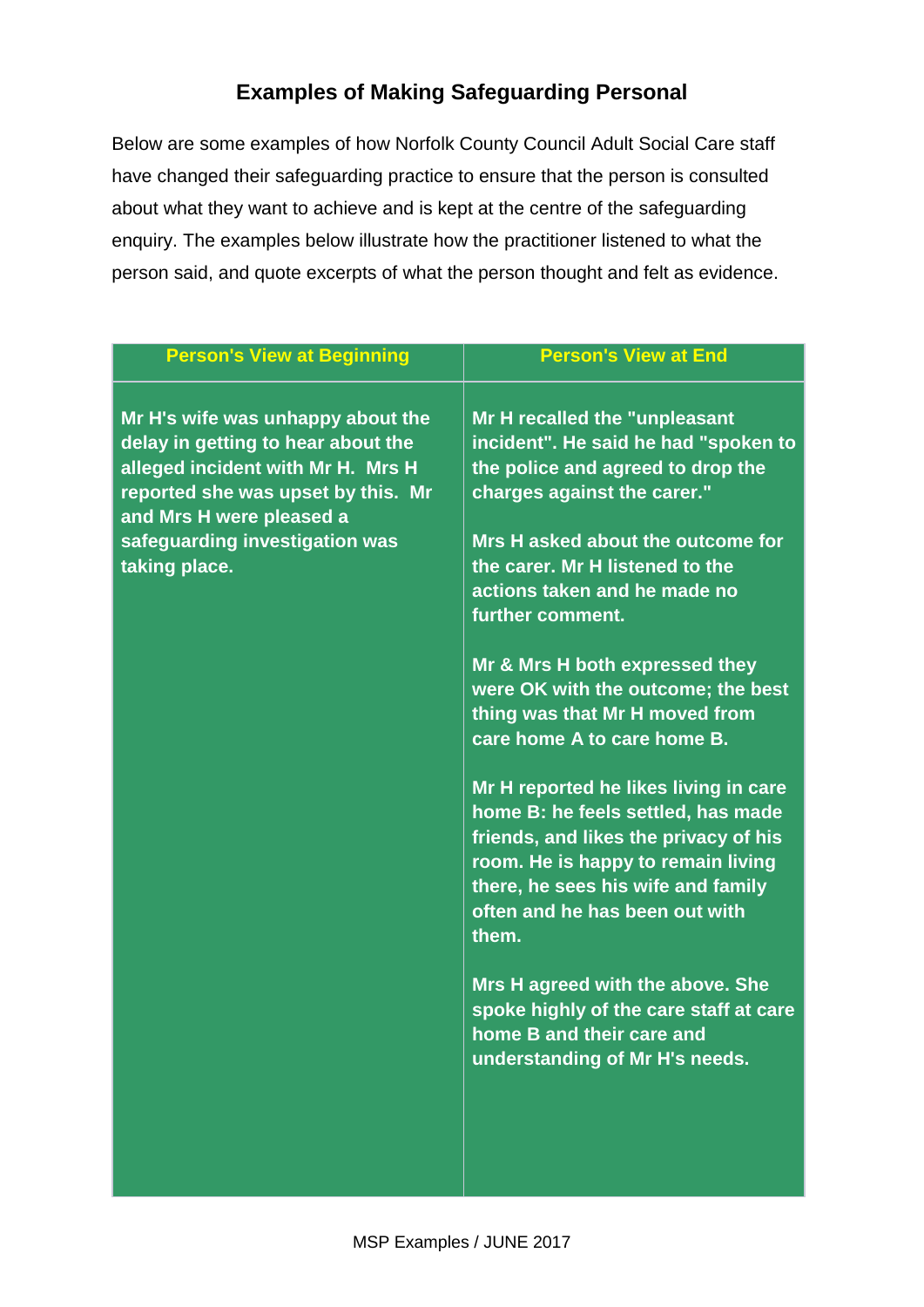## **Examples of Making Safeguarding Personal**

Below are some examples of how Norfolk County Council Adult Social Care staff have changed their safeguarding practice to ensure that the person is consulted about what they want to achieve and is kept at the centre of the safeguarding enquiry. The examples below illustrate how the practitioner listened to what the person said, and quote excerpts of what the person thought and felt as evidence.

| <b>Person's View at Beginning</b>                                                                                                                                              | <b>Person's View at End</b>                                                                                                                                                                                                                 |
|--------------------------------------------------------------------------------------------------------------------------------------------------------------------------------|---------------------------------------------------------------------------------------------------------------------------------------------------------------------------------------------------------------------------------------------|
| Mr H's wife was unhappy about the<br>delay in getting to hear about the<br>alleged incident with Mr H. Mrs H<br>reported she was upset by this. Mr<br>and Mrs H were pleased a | Mr H recalled the "unpleasant<br>incident". He said he had "spoken to<br>the police and agreed to drop the<br>charges against the carer."                                                                                                   |
| safeguarding investigation was<br>taking place.                                                                                                                                | Mrs H asked about the outcome for<br>the carer. Mr H listened to the<br>actions taken and he made no<br>further comment.                                                                                                                    |
|                                                                                                                                                                                | Mr & Mrs H both expressed they<br>were OK with the outcome; the best<br>thing was that Mr H moved from<br>care home A to care home B.                                                                                                       |
|                                                                                                                                                                                | Mr H reported he likes living in care<br>home B: he feels settled, has made<br>friends, and likes the privacy of his<br>room. He is happy to remain living<br>there, he sees his wife and family<br>often and he has been out with<br>them. |
|                                                                                                                                                                                | Mrs H agreed with the above. She<br>spoke highly of the care staff at care<br>home B and their care and<br>understanding of Mr H's needs.                                                                                                   |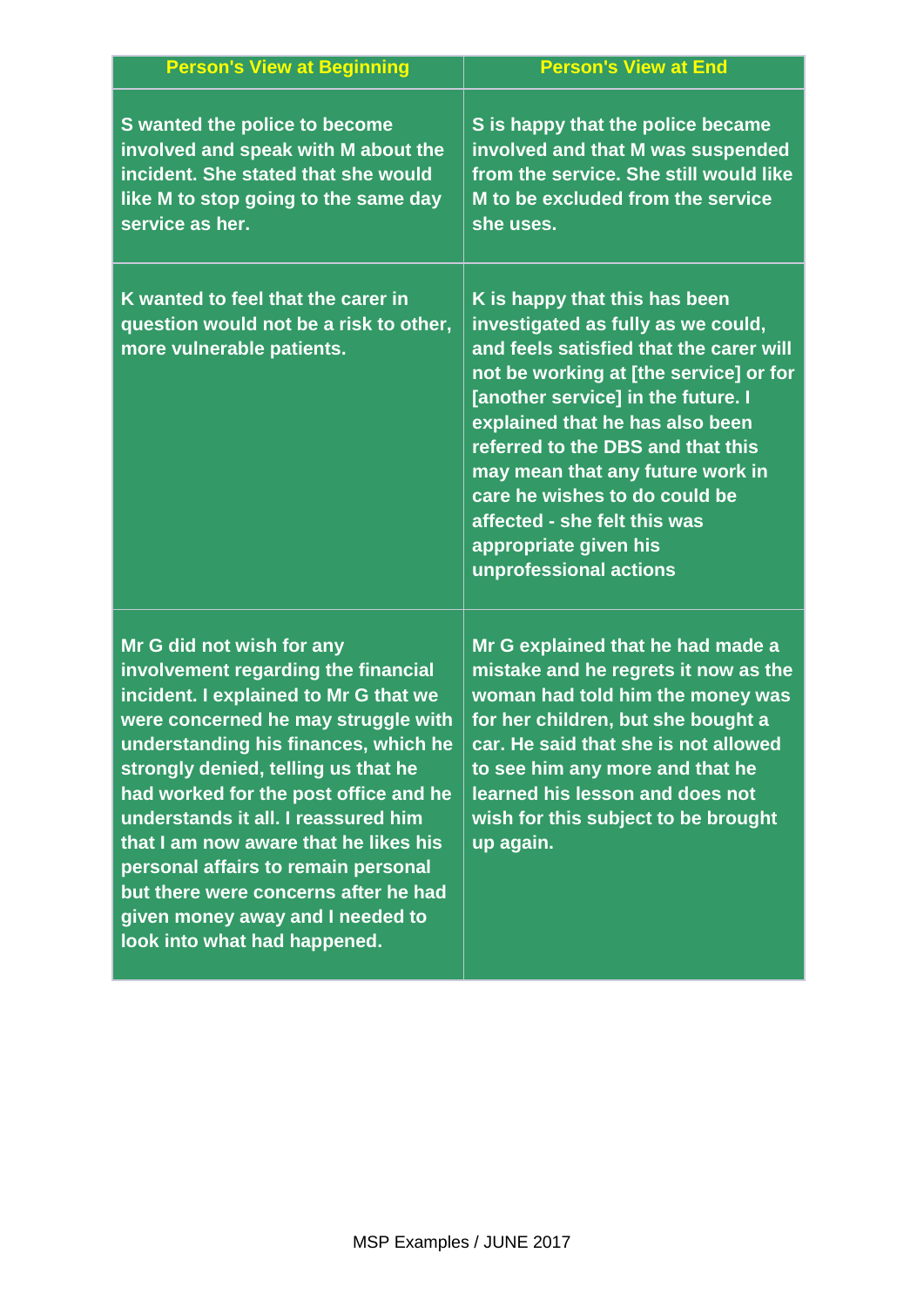| <b>Person's View at Beginning</b>                                                                                                                                                                                                                                                                                                                                                                                                                                                                           | <b>Person's View at End</b>                                                                                                                                                                                                                                                                                                                                                                                                    |
|-------------------------------------------------------------------------------------------------------------------------------------------------------------------------------------------------------------------------------------------------------------------------------------------------------------------------------------------------------------------------------------------------------------------------------------------------------------------------------------------------------------|--------------------------------------------------------------------------------------------------------------------------------------------------------------------------------------------------------------------------------------------------------------------------------------------------------------------------------------------------------------------------------------------------------------------------------|
| S wanted the police to become<br>involved and speak with M about the<br>incident. She stated that she would<br>like M to stop going to the same day<br>service as her.                                                                                                                                                                                                                                                                                                                                      | S is happy that the police became<br>involved and that M was suspended<br>from the service. She still would like<br>M to be excluded from the service<br>she uses.                                                                                                                                                                                                                                                             |
| K wanted to feel that the carer in<br>question would not be a risk to other,<br>more vulnerable patients.                                                                                                                                                                                                                                                                                                                                                                                                   | K is happy that this has been<br>investigated as fully as we could,<br>and feels satisfied that the carer will<br>not be working at [the service] or for<br>[another service] in the future. I<br>explained that he has also been<br>referred to the DBS and that this<br>may mean that any future work in<br>care he wishes to do could be<br>affected - she felt this was<br>appropriate given his<br>unprofessional actions |
| Mr G did not wish for any<br>involvement regarding the financial<br>incident. I explained to Mr G that we<br>were concerned he may struggle with<br>understanding his finances, which he<br>strongly denied, telling us that he<br>had worked for the post office and he<br>understands it all. I reassured him<br>that I am now aware that he likes his<br>personal affairs to remain personal<br>but there were concerns after he had<br>given money away and I needed to<br>look into what had happened. | Mr G explained that he had made a<br>mistake and he regrets it now as the<br>woman had told him the money was<br>for her children, but she bought a<br>car. He said that she is not allowed<br>to see him any more and that he<br>learned his lesson and does not<br>wish for this subject to be brought<br>up again.                                                                                                          |